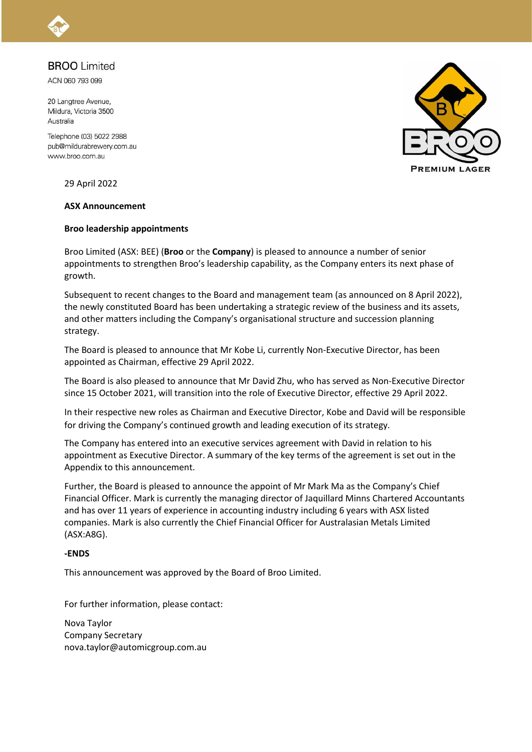## **BROO** Limited

ACN 060 793 099

20 Langtree Avenue, Mildura, Victoria 3500 Australia

Telephone (03) 5022 2988 pub@mildurabrewery.com.au www.broo.com.au

29 April 2022

#### **ASX Announcement**

#### **Broo leadership appointments**

Broo Limited (ASX: BEE) (**Broo** or the **Company**) is pleased to announce a number of senior appointments to strengthen Broo's leadership capability, as the Company enters its next phase of growth.

Subsequent to recent changes to the Board and management team (as announced on 8 April 2022), the newly constituted Board has been undertaking a strategic review of the business and its assets, and other matters including the Company's organisational structure and succession planning strategy.

The Board is pleased to announce that Mr Kobe Li, currently Non-Executive Director, has been appointed as Chairman, effective 29 April 2022.

The Board is also pleased to announce that Mr David Zhu, who has served as Non-Executive Director since 15 October 2021, will transition into the role of Executive Director, effective 29 April 2022.

In their respective new roles as Chairman and Executive Director, Kobe and David will be responsible for driving the Company's continued growth and leading execution of its strategy.

The Company has entered into an executive services agreement with David in relation to his appointment as Executive Director. A summary of the key terms of the agreement is set out in the Appendix to this announcement.

Further, the Board is pleased to announce the appoint of Mr Mark Ma as the Company's Chief Financial Officer. Mark is currently the managing director of Jaquillard Minns Chartered Accountants and has over 11 years of experience in accounting industry including 6 years with ASX listed companies. Mark is also currently the Chief Financial Officer for Australasian Metals Limited (ASX:A8G).

#### **-ENDS**

This announcement was approved by the Board of Broo Limited.

For further information, please contact:

Nova Taylor Company Secretary nova.taylor@automicgroup.com.au